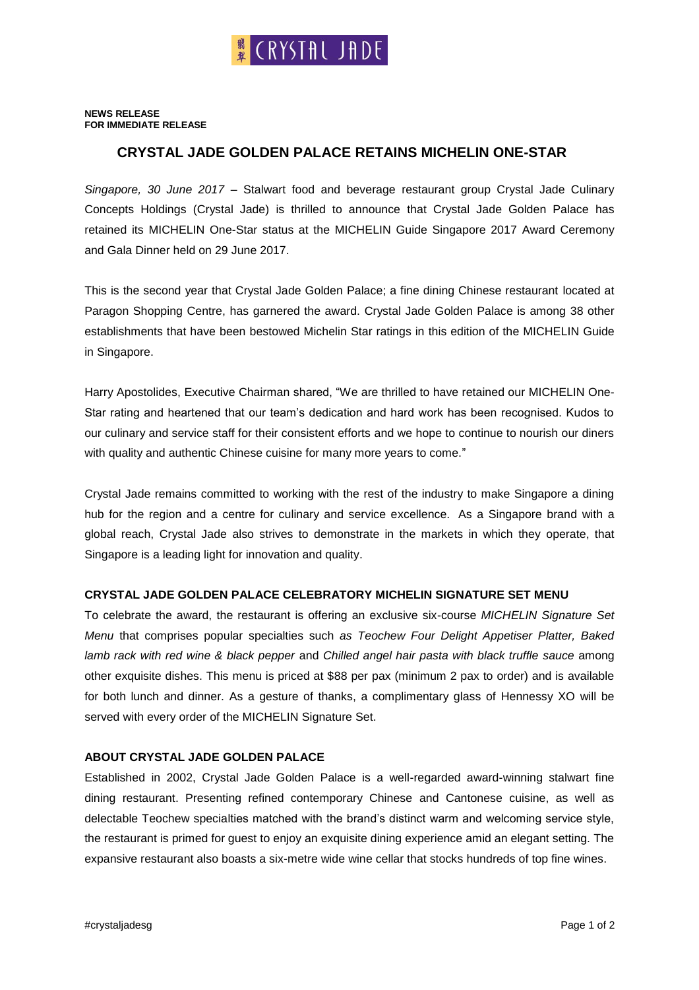#### **NEWS RELEASE FOR IMMEDIATE RELEASE**

# **CRYSTAL JADE GOLDEN PALACE RETAINS MICHELIN ONE-STAR**

*Singapore, 30 June 2017* – Stalwart food and beverage restaurant group Crystal Jade Culinary Concepts Holdings (Crystal Jade) is thrilled to announce that Crystal Jade Golden Palace has retained its MICHELIN One-Star status at the MICHELIN Guide Singapore 2017 Award Ceremony and Gala Dinner held on 29 June 2017.

This is the second year that Crystal Jade Golden Palace; a fine dining Chinese restaurant located at Paragon Shopping Centre, has garnered the award. Crystal Jade Golden Palace is among 38 other establishments that have been bestowed Michelin Star ratings in this edition of the MICHELIN Guide in Singapore.

Harry Apostolides, Executive Chairman shared, "We are thrilled to have retained our MICHELIN One-Star rating and heartened that our team's dedication and hard work has been recognised. Kudos to our culinary and service staff for their consistent efforts and we hope to continue to nourish our diners with quality and authentic Chinese cuisine for many more years to come."

Crystal Jade remains committed to working with the rest of the industry to make Singapore a dining hub for the region and a centre for culinary and service excellence. As a Singapore brand with a global reach, Crystal Jade also strives to demonstrate in the markets in which they operate, that Singapore is a leading light for innovation and quality.

## **CRYSTAL JADE GOLDEN PALACE CELEBRATORY MICHELIN SIGNATURE SET MENU**

To celebrate the award, the restaurant is offering an exclusive six-course *MICHELIN Signature Set Menu* that comprises popular specialties such *as Teochew Four Delight Appetiser Platter, Baked lamb rack with red wine & black pepper* and *Chilled angel hair pasta with black truffle sauce* among other exquisite dishes. This menu is priced at \$88 per pax (minimum 2 pax to order) and is available for both lunch and dinner. As a gesture of thanks, a complimentary glass of Hennessy XO will be served with every order of the MICHELIN Signature Set.

## **ABOUT CRYSTAL JADE GOLDEN PALACE**

Established in 2002, Crystal Jade Golden Palace is a well-regarded award-winning stalwart fine dining restaurant. Presenting refined contemporary Chinese and Cantonese cuisine, as well as delectable Teochew specialties matched with the brand's distinct warm and welcoming service style, the restaurant is primed for guest to enjoy an exquisite dining experience amid an elegant setting. The expansive restaurant also boasts a six-metre wide wine cellar that stocks hundreds of top fine wines.